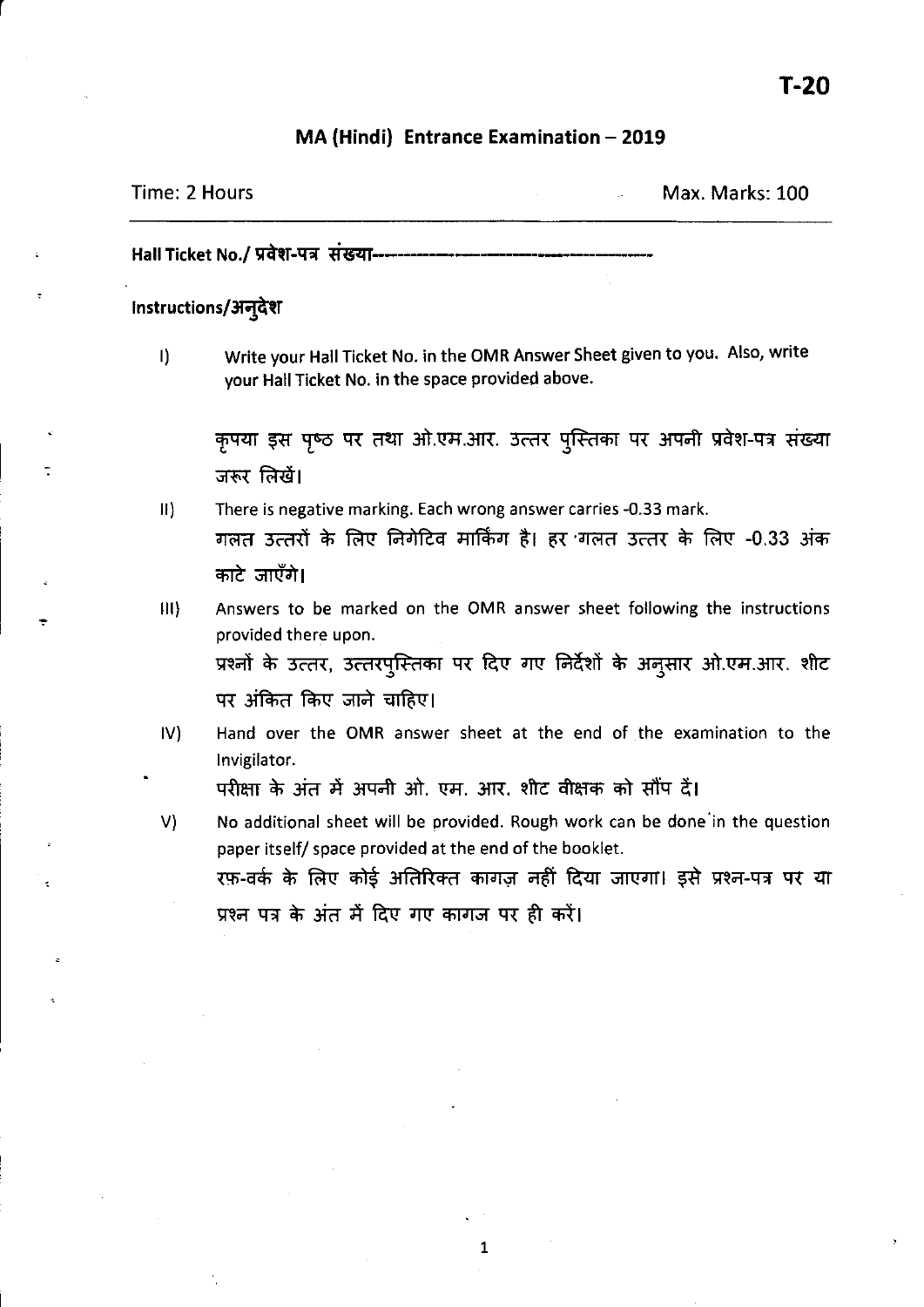#### MA (Hindi) Entrance Examination - 2019

### Time: 2 Hours Max. Marks: 100

Hall Ticket No./ प्रवेश-पत्र संख्या-----

#### instructions/अन्देश

r

I) Write your Hall Ticket No. in the OMR Answer Sheet given to you. Also, write your Hall Ticket No. in the space provided above.

कृपया इस पृष्ठ पर तथा ओ.एम.आर. उत्तर पुस्तिका पर अपनी प्रवेश-पत्र संख्या जरूर लिखें।

- II) There is negative marking. Each wrong answer carries -0.33 mark. गलत उत्तरों के लिए निगेटिव मार्किंग है। हर गलत उत्तर के लिए -0.33 अंक काटे जाएँगे।
- III) Answers to be marked on the OMR answer sheet following the instructions provided there upon. प्रश्नों के उत्तर, उत्तरपुस्तिका पर दिए गए निर्देशों के अनुसार ओ.एम.आर. शीट पर अंकित किए जाने चाहिए।
- IV) Hand over the OMR answer sheet at the end of the examination to the Invigilator.

परीक्षा के अंत में अपनी ओ. एम. आर. शीट वीक्षक को सौंप दें।

V) No additional sheet will be provided. Rough work can be done 'in the question paper itself/ space provided at the end of the booklet. रफ़-वर्क के लिए कोई अतिरिक्त कागज़ नहीं दिया जाएगा। इसे प्रश्न-पत्र पर या प्रश्न पत्र के अंत में दिए गए कागज पर ही करें।

1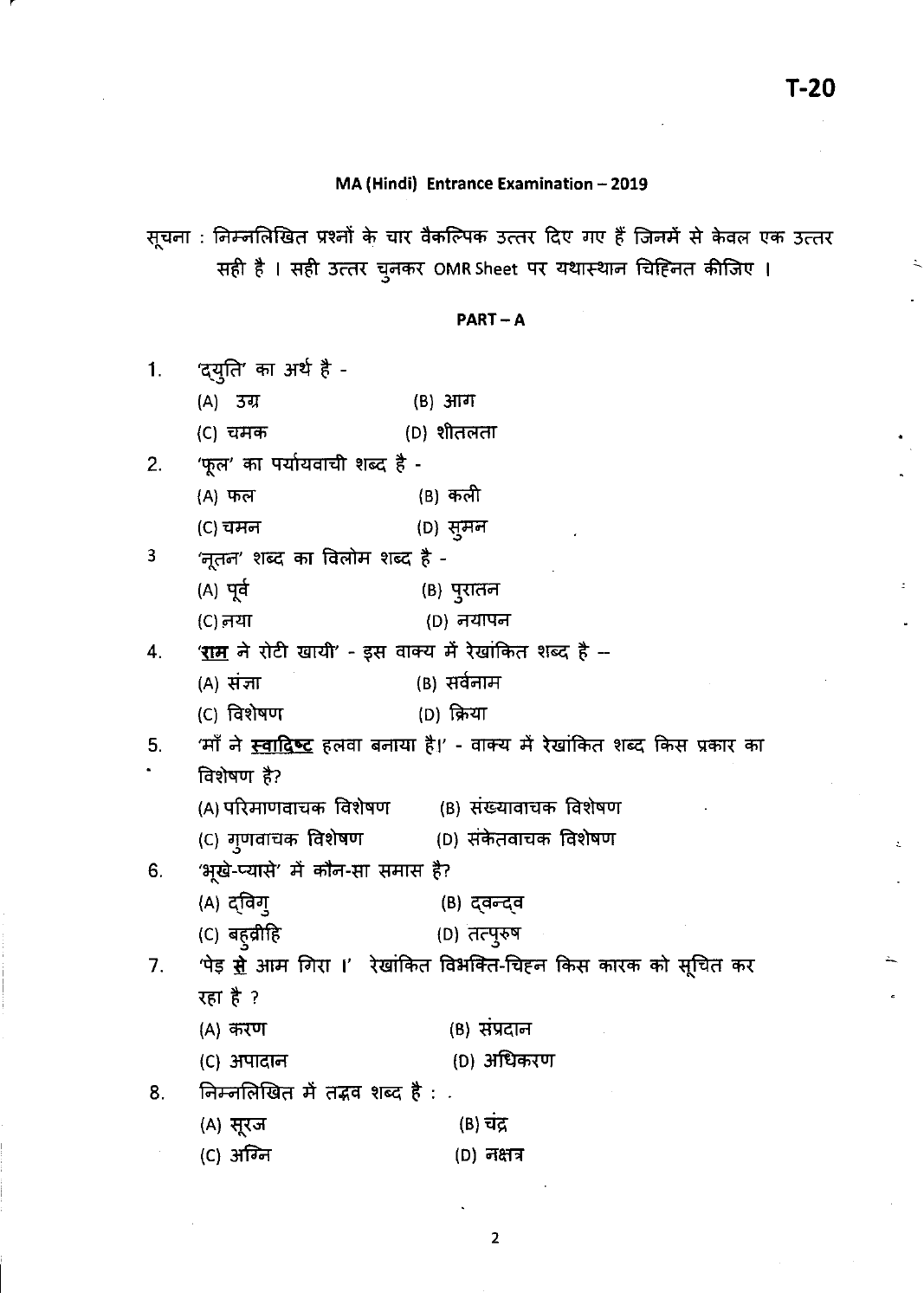$\ddot{\mathcal{L}}$ 

## **MA (Hindi) Entrance Examination - 2019**

सूचना : निम्नलिखित प्रश्नों के चार वैकल्पिक उत्तर दिए गए हैं जिनमें से केवल एक उत्तर<br>सही है । सही उत्तर चुनकर OMR Sheet पर यथास्थान चिह्नित कीजिए ।

#### PART-A

| 1.             | 'दयुति' का अर्थ है -                                                  |                                                                                                 |  |  |
|----------------|-----------------------------------------------------------------------|-------------------------------------------------------------------------------------------------|--|--|
|                | (A) उग्र                                                              | (B) आग                                                                                          |  |  |
|                | (C) चमक                                                               | (D) शीतलता                                                                                      |  |  |
|                | 2. 'फूल' का पर्यायवाची शब्द है -                                      |                                                                                                 |  |  |
|                | (A) फल                                                                | (B) कली                                                                                         |  |  |
|                | (C) चमन                                                               | (D) सुमन                                                                                        |  |  |
| 3 <sub>1</sub> | 'नूतन' शब्द का विलोम शब्द है -                                        |                                                                                                 |  |  |
|                | (A) पूर्व                                                             | (B) पुरातन                                                                                      |  |  |
|                | (C) नया                                                               | (D) नयापन                                                                                       |  |  |
| 4.             |                                                                       | ' <u>राम</u> ने रोटी खायी' - इस वाक्य में रेखांकित शब्द है --                                   |  |  |
|                | (A) संज्ञा                                                            | (B) सर्वनाम                                                                                     |  |  |
|                | (C) विशेषण                                                            | (D) क्रिया                                                                                      |  |  |
|                |                                                                       | 5.     'माँ ने <u>स्वा<b>दिष्ट</b> ह</u> लवा बनाया है।' - वाक्य में रेखांकित शब्द किस प्रकार का |  |  |
|                | विशेषण है?                                                            |                                                                                                 |  |  |
|                |                                                                       | (A) परिमाणवाचक विशेषण         (B) संख्यावाचक विशेषण                                             |  |  |
|                |                                                                       | (C) गुणवाचक विशेषण         (D) संकेतवाचक विशेषण                                                 |  |  |
| 6.             | 'भूखे-प्यासे' में कौन-सा समास है?                                     |                                                                                                 |  |  |
|                | (A) द्विगु                                                            | (B) द्वन्द्व                                                                                    |  |  |
|                | (C) बह् <b>व्री</b> हि                                                | (D) तत्पुरुष                                                                                    |  |  |
| 7.             | 'पेड़ <u>से</u> आम गिरा ।' रेखांकित विभक्ति-चिहन किस कारक को सूचित कर |                                                                                                 |  |  |
|                | रहा है ?                                                              |                                                                                                 |  |  |
|                | (A) करण                                                               | (B) सप्रदान                                                                                     |  |  |
|                | (C) अपादान                                                            | (D) अधिकरण                                                                                      |  |  |
| 8.             | निम्नलिखित में तद्भव शब्द है :                                        |                                                                                                 |  |  |
|                | (A) सूरज                                                              | (B) चंद्र                                                                                       |  |  |
|                | (C) अग्नि                                                             | (D) नक्षत्र                                                                                     |  |  |

2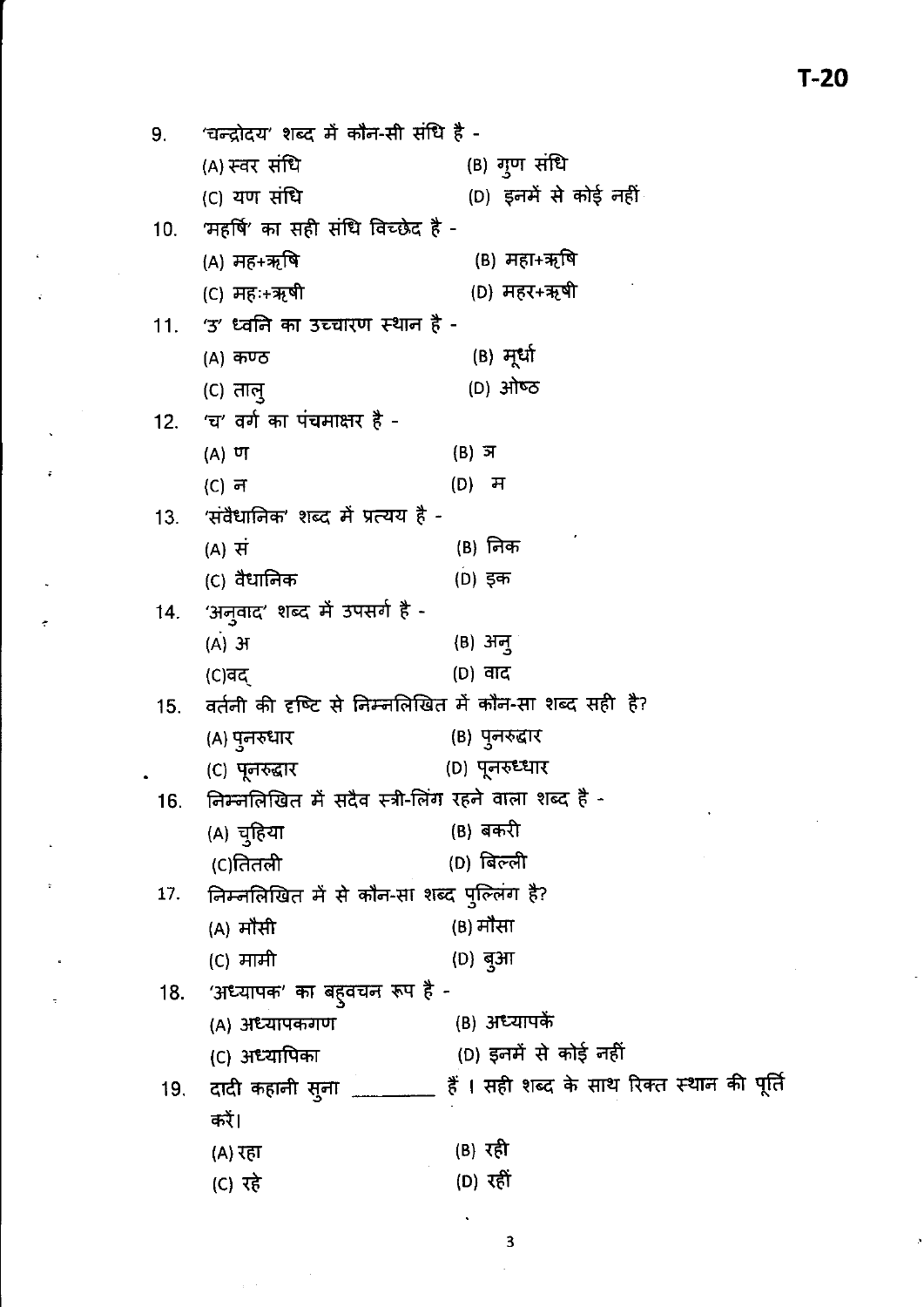'चन्द्रोदय' शब्द में कौन-सी संधि है -9. (B) गुण संधि (A) स्वर संधि (D) इनमें से कोई नहीं (C) यण संधि  $10.$ 'महर्षि' का सही संधि विच्छेद है -(B) महा+ऋषि (A) मह+ऋषि (C) महः+ऋषी (D) महर+ऋषी 'उ' ध्वनि का उच्चारण स्थान है - $11.$ (B) मूर्धा (A) कण्ठ (D) ओष्ठ  $(C)$  ताल् 'च' वर्ग का पंचमाक्षर है - $12.$  $(B)$  ज  $(A)$   $\sigma$  $(D)$  ਸ  $(C)$  न 'संवैधानिक' शब्द में प्रत्यय है - $13.$  $(B)$  निक  $(A)$  सं (C) वैधानिक (D) इक 'अनुवाद' शब्द में उपसर्ग है - $14.$  $(A)$   $H$  $(B)$  अनु  $(D)$  वाद  $(C)$ वद वर्तनी की दृष्टि से निम्नलिखित में कौन-सा शब्द सही है?  $15.$ (B) पुनरुद्वार (A) पुनरुधार (D) पूनरुध्धार (C) पूनरुद्धार निम्नलिखित में सदैव स्त्री-लिंग रहने वाला शब्द है -16. (B) बकरी (A) चुहिया (D) बिल्ली (C)तितली निम्नलिखित में से कौन-सा शब्द पुल्लिंग है? 17. (B) मौसा (A) मौसी (C) मामी (D) बुआ 'अध्यापक' का बहुवचन रूप है -18. (B) अध्यापकें (A) अध्यापकगण (D) इनमें से कोई नहीं (C) अध्यापिका दादी कहानी सुना \_\_\_\_\_\_\_ हैं । सही शब्द के साथ रिक्त स्थान की पूर्ति 19. करें।  $(B)$   $\bar{x}$ (A) रहा  $(D)$  रहीं (C) रहे

3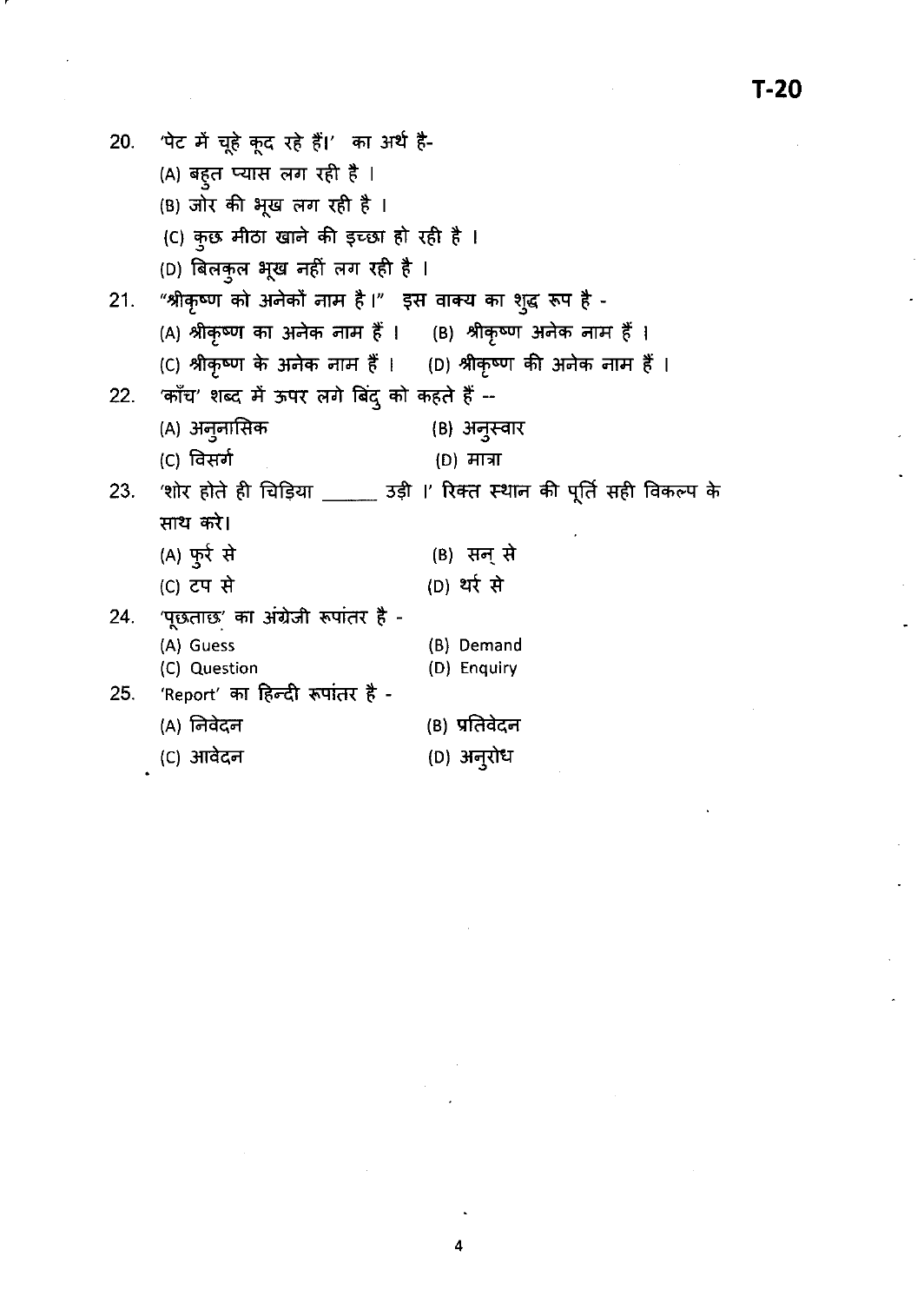20. पेट में चूहे कूद रहे हैं।' का अर्थ है-(A) बहुत प्यास लग रही है । (B) जोर की भूख लग रही है। (C) कुछ मीठा खाने की इच्छा हो रही है। (D) बिलकुल भूख नहीं लग रही है । 21. "श्रीकृष्ण को अनेकों नाम है।" इस वाक्य का शुद्ध रूप है -(A) श्रीकृष्ण का अनेक नाम हैं । (B) श्रीकृष्ण अनेक नाम हैं । (C) श्रीकृष्ण के अनेक नाम हैं । (D) श्रीकृष्ण की अनेक नाम हैं । 22. 'काँच' शब्द में ऊपर लगे बिंदु को कहते हैं --(A) अनुनासिक (B) अनुस्वार (C) विसर्ग (D) मात्रा 23. 'शोर होते ही चिड़िया \_\_\_\_\_\_ उड़ी ।' रिक्त स्थान की पूर्ति सही विकल्प के साथ करे। (A) फुर्र से (C) टप से  $24.$  'पूछताछ' का अंग्रेजी रूपांतर है -(A) Guess (C) Question 25. 'Report' का हिन्दी रूपांतर है -(A) निवेदन (C) आवेदन (B) सन् से (D) थर्र से (B) Demand (D) Enquiry (B) प्रतिवेदन (D) अनुरोध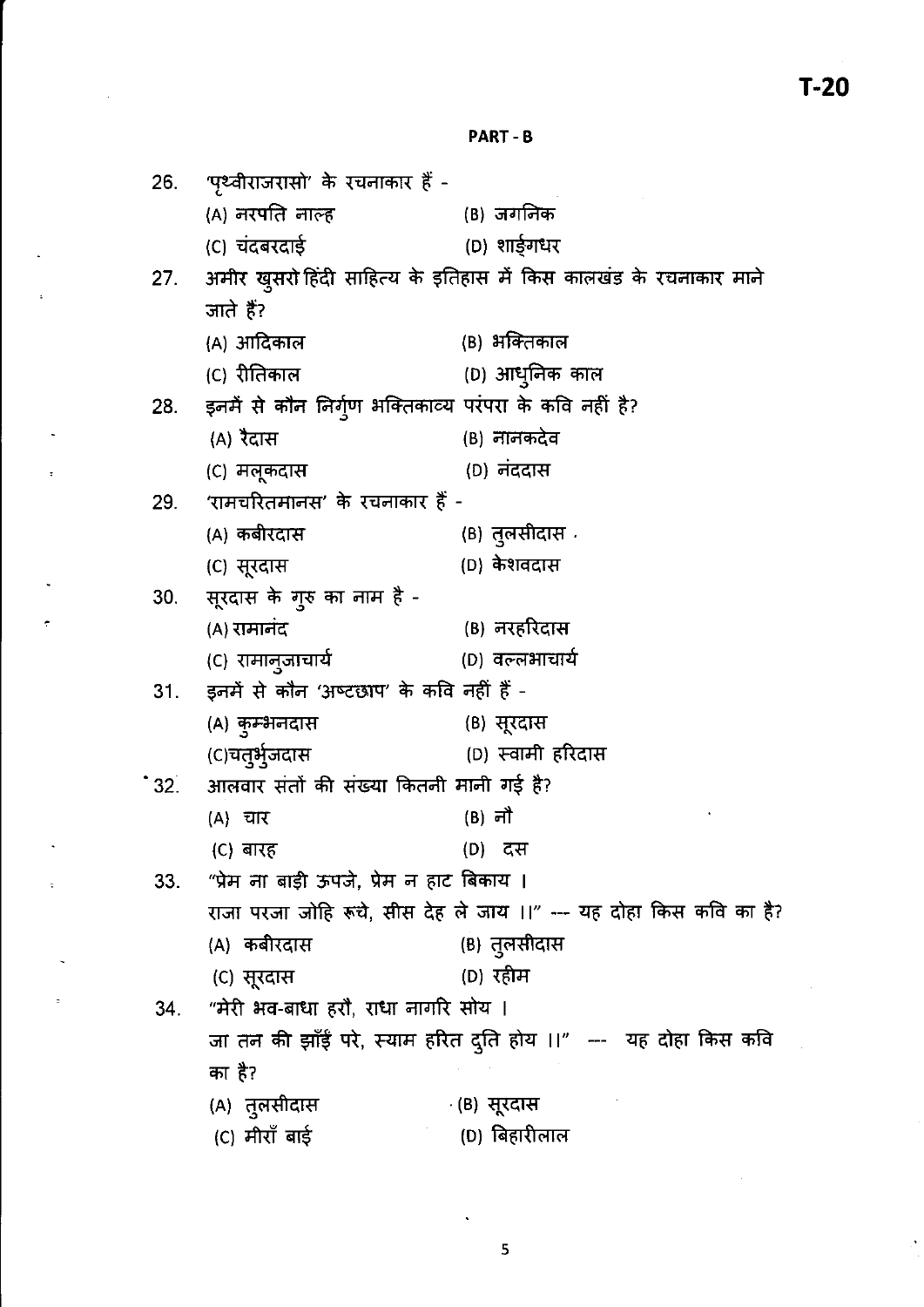#### **PART - B**

| 26. | 'पृथ्वीराजरासो' के रचनाकार हैं -                                   |                                                                   |  |  |  |
|-----|--------------------------------------------------------------------|-------------------------------------------------------------------|--|--|--|
|     | (A) नरपति नाल्ह                                                    | (B) जगनिक                                                         |  |  |  |
|     | (C) चंदबरदाई                                                       | (D) शार्डुगधर                                                     |  |  |  |
| 27. |                                                                    | अमीर खुसरो हिंदी साहित्य के इतिहास में किस कालखंड के रचनाकार माने |  |  |  |
|     | जाते हैं?                                                          |                                                                   |  |  |  |
|     | (A) आदिकाल                                                         | (B) भक्तिकाल                                                      |  |  |  |
|     | (C) रीतिकाल                                                        | (D) आधुनिक काल                                                    |  |  |  |
|     | 28. इनमें से कौन निर्गुण भक्तिकाव्य परंपरा के कवि नहीं है?         |                                                                   |  |  |  |
|     | (A) रैदास                                                          | (B) नानकदेव                                                       |  |  |  |
|     | (C) मलूकदास                                                        | (D) नंददास                                                        |  |  |  |
|     | 29. 'रामचरितमानस' के रचनाकार हैं -                                 |                                                                   |  |  |  |
|     | (A) कबीरदास                                                        | (B) तुलसीदास <sup>्</sup>                                         |  |  |  |
|     | (C) सूरदास                                                         | (D) केशवदास                                                       |  |  |  |
|     | 30. सूरदास के गुरु का नाम है -                                     |                                                                   |  |  |  |
|     | (A) रामानंद                                                        | (B) नरहरिदास                                                      |  |  |  |
|     | (C) रामानुजाचार्य                                                  | (D) वल्लभाचार्य                                                   |  |  |  |
|     | 31. इनमें से कौन 'अष्टछाप' के कवि नहीं हैं -                       |                                                                   |  |  |  |
|     | (A) कुम्भनदास                                                      | (B) सूरदास                                                        |  |  |  |
|     | (C)चतुर्भुजदास                                                     | (D) स्वामी हरिदास                                                 |  |  |  |
|     | *32. आलवार संतों की संख्या कितनी मानी गई है?                       |                                                                   |  |  |  |
|     | (A) चार                                                            | (B) नौ                                                            |  |  |  |
|     | (C) बारह                                                           | (D) दस                                                            |  |  |  |
| 33. | "प्रेम ना बाड़ी ऊपजे, प्रेम न हाट बिकाय ।                          |                                                                   |  |  |  |
|     | राजा परजा जोहि रूचे, सीस देह ले जाय ।।" --- यह दोहा किस कवि का है? |                                                                   |  |  |  |
|     | (A) कबीरदास                                                        | (B) तुलसीदास                                                      |  |  |  |
|     | (C) सूरदास                                                         | (D) रहीम                                                          |  |  |  |
| 34. | "मेरी भव-बाधा हरौ, राधा नागरि सोय ।                                |                                                                   |  |  |  |
|     | जा तन की झाँई परे, स्याम हरित दुति होय ।।" --- यह दोहा किस कवि     |                                                                   |  |  |  |
|     | का है?                                                             |                                                                   |  |  |  |
|     | (A) तुलसीदास                                                       | <sub>′</sub> (B)  सूरदास                                          |  |  |  |
|     | (C) मीराँ बाई                                                      | (D) बिहारीलाल                                                     |  |  |  |

ċ

l,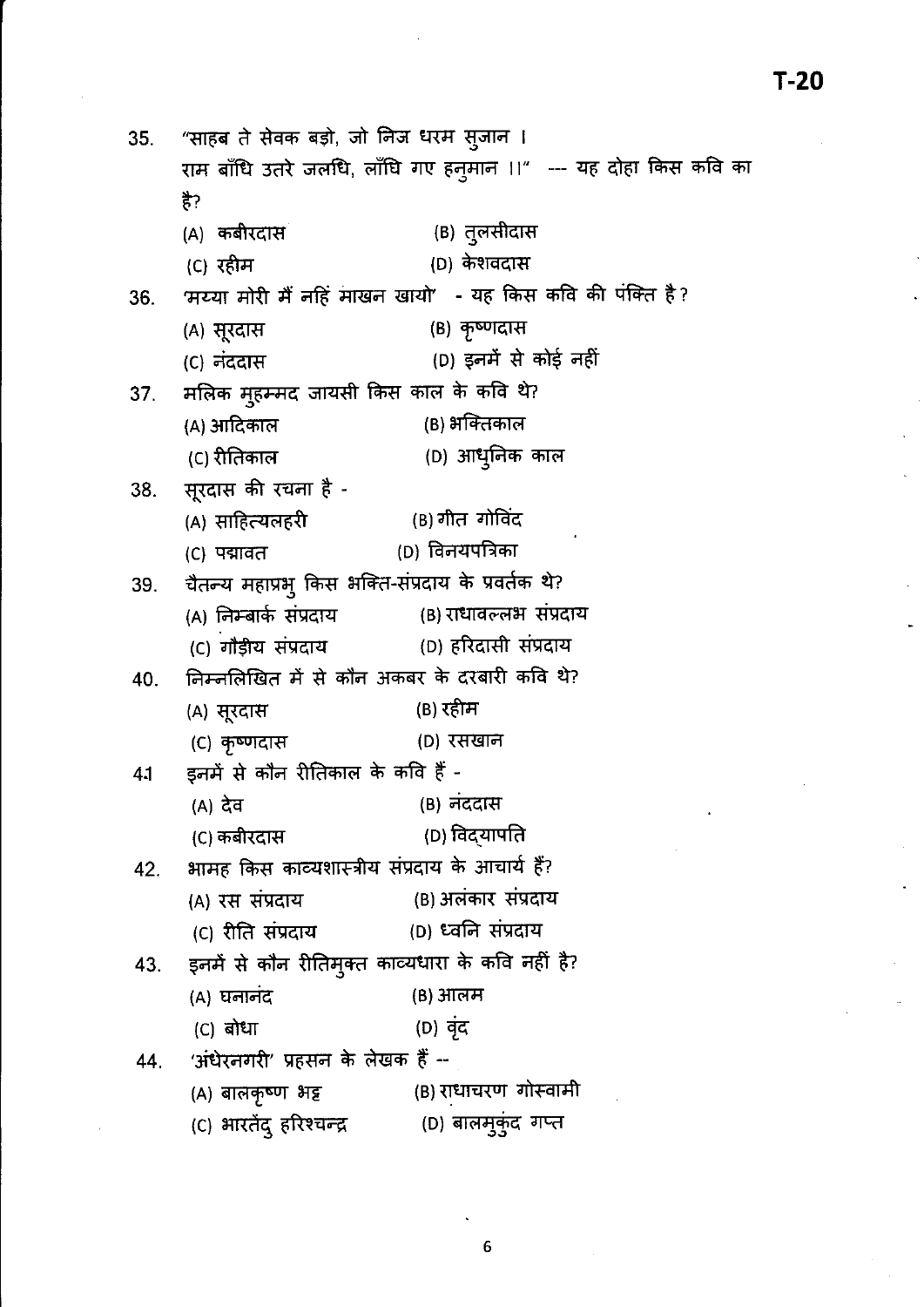"साहब ते सेवक बड़ो, जो निज धरम स्जान । 35. राम बाँधि उतरे जलधि, लाँधि गए हनुमान ।।" --- यह दोहा किस कवि का है? (B) तुलसीदास (A) कबीरदास (D) केशवदास (C) रहीम 'मय्या मोरी मैं नहिं माखन खायो' - यह किस कवि की पंक्ति है? 36. (B) कृष्णदास (A) सूरदास (D) इनमें से कोई नहीं (C) नंददास मलिक मुहम्मद जायसी किस काल के कवि थे? 37. (B) भक्तिकाल (A) आदिकाल (C) रीतिकाल (D) आधुनिक काल सूरदास की रचना है -38. (A) साहित्यलहरी (B) गीत गोविंद (D) विनयपत्रिका (C) पद्मावत चैतन्य महाप्रभु किस भक्ति-संप्रदाय के प्रवर्तक थे? 39. (B) राधावल्लभ संप्रदाय (A) निम्बार्क संप्रदाय (D) हरिदासी संप्रदाय (C) गौड़ीय संप्रदाय निम्नलिखित में से कौन अकबर के दरबारी कवि थे? 40. (B) रहीम (A) सूरदास (C) कृष्णदास (D) रसखान इनमें से कौन रीतिकाल के कवि हैं -41 (A) देव (B) नंददास (D) विद्**यापति** (C) कबीरदास भामह किस काव्यशास्त्रीय संप्रदाय के आचार्य हैं? 42. (B) अलंकार संप्रदाय (A) रस संप्रदाय (D) ध्वनि संप्रदाय (C) रीति संप्रदाय इनमें से कौन रीतिमुक्त काव्यधारा के कवि नहीं है? 43. (A) घनानंद (B) आलम (D) वृंद  $(C)$  बोधा 'अंधेरनगरी' प्रहसन के लेखक हैं --44. (B) राधाचरण गोस्वामी (A) बालकृष्ण भट्ट (C) भारतेंदु हरिश्चन्द्र (D) बालमुकुंद गप्त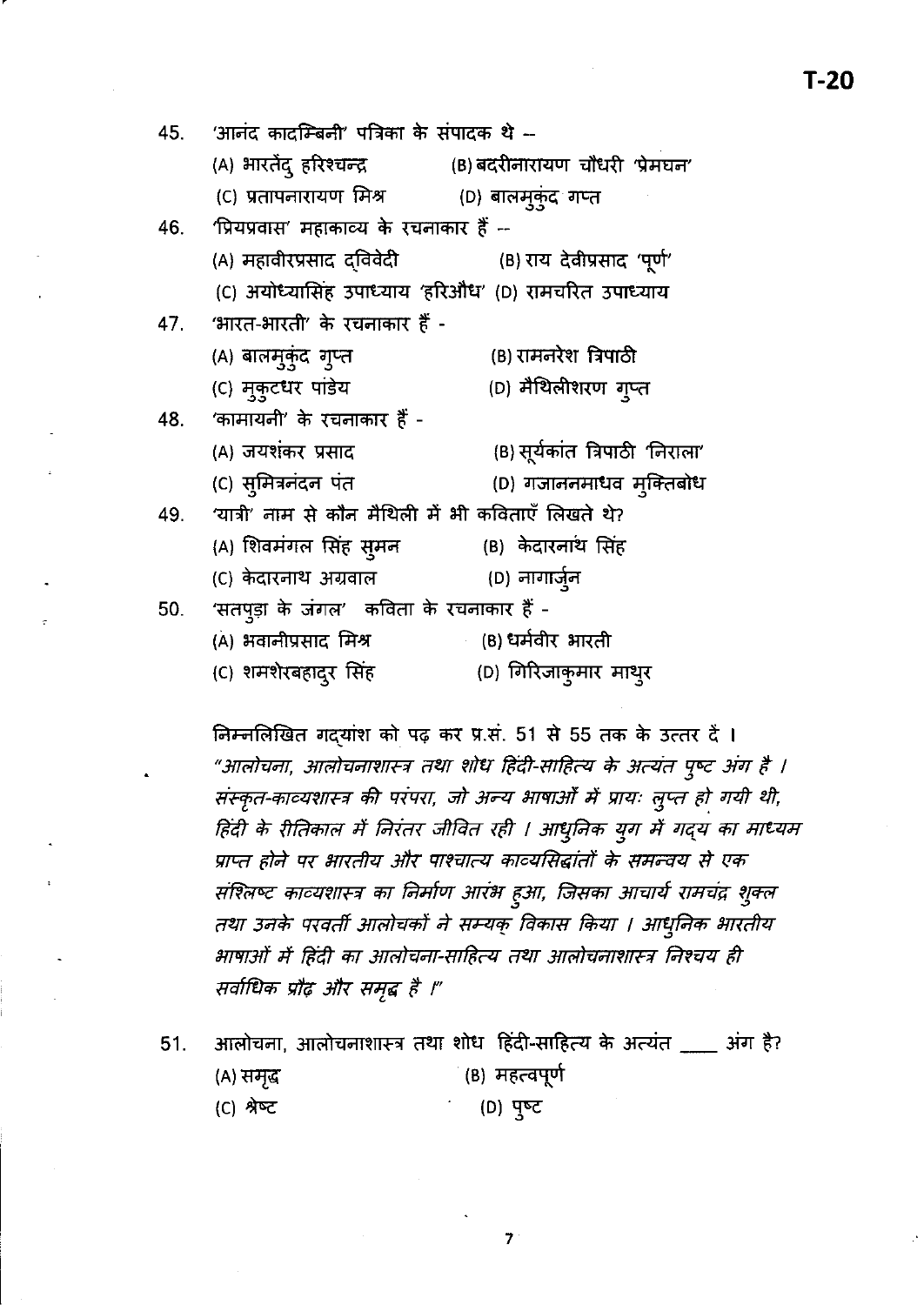45. 'आनंद कादम्बिनी' पत्रिका के संपादक थे --(A) भारतेंद् हरिश्चन्द्र (B) बदरीनारायण चौधरी 'प्रेमघन' (C) प्रतापनारायण मिश्र (D) बालम्कुंद गप्त 'प्रियप्रवास' महाकाव्य के रचनाकार हैं --46. (A) महावीरप्रसाद दविवेदी (B) राय देवीप्रसाद 'पूर्ण' (C) अयोध्यासिंह उपाध्याय 'हरिऔध' (D) रामचरित उपाध्याय 'भारत-भारती' के रचनाकार हैं -47. (A) बालमुकुंद गुप्त (B) रामनरेश त्रिपाठी (C) मुकुटधर पांडेय (D) मैथिलीशरण गुप्त 'कामायनी' के रचनाकार हैं -48. (A) जयशंकर प्रसाद (B) सूर्यकांत त्रिपाठी 'निराला' (C) सुमित्रनंदन पंत (D) गजाननमाधव मुक्तिबोध 'यात्री' नाम से कौन मैथिली में भी कविताएँ लिखते थे? 49. (A) शिवमंगल सिंह सूमन (B) केदारनाथ सिंह (D) नागार्जुन (C) केदारनाथ अग्रवाल 'सतपुड़ा के जंगल' कविता के रचनाकार हैं -50. (B) धर्मवीर भारती (A) भवानीप्रसाद मिश्र (C) शमशेरबहादुर सिंह (D) गिरिजाकुमार माथुर

निम्नलिखित गदयांश को पढ़ कर प्र.सं. 51 से 55 तक के उत्तर दें । "आलोचना, आलोचनाशास्त्र तथा शोध हिंदी-साहित्य के अत्यंत पुष्ट अंग है । संस्कृत-काव्यशास्त्र की परंपरा, जो अन्य भाषाओँ में प्रायः लुप्त हो गयी थी, हिंदी के रीतिकाल में निरंतर जीवित रही । आधुनिक युग में गद्य का माध्यम प्राप्त होने पर भारतीय और पाश्चात्य काव्यसिद्धांतों के समन्वय से एक संश्लिष्ट काव्यशास्त्र का निर्माण आरंभ हुआ, जिसका आचार्य रामचंद्र शुक्ल तथा उनके परवर्ती आलोचकों ने सम्यक् विकास किया । आधुनिक भारतीय भाषाओं में हिंदी का आलोचना-साहित्य तथा आलोचनाशास्त्र निश्चय ही सर्वाधिक प्रौढ़ और समृद्ध है ।"

आलोचना, आलोचनाशास्त्र तथा शोध हिंदी-साहित्य के अत्यंत \_\_\_ अंग है? 51. (B) महत्वपूर्ण (A) समृद (D) पुष्ट (C) श्रेष्ट

 $\overline{7}$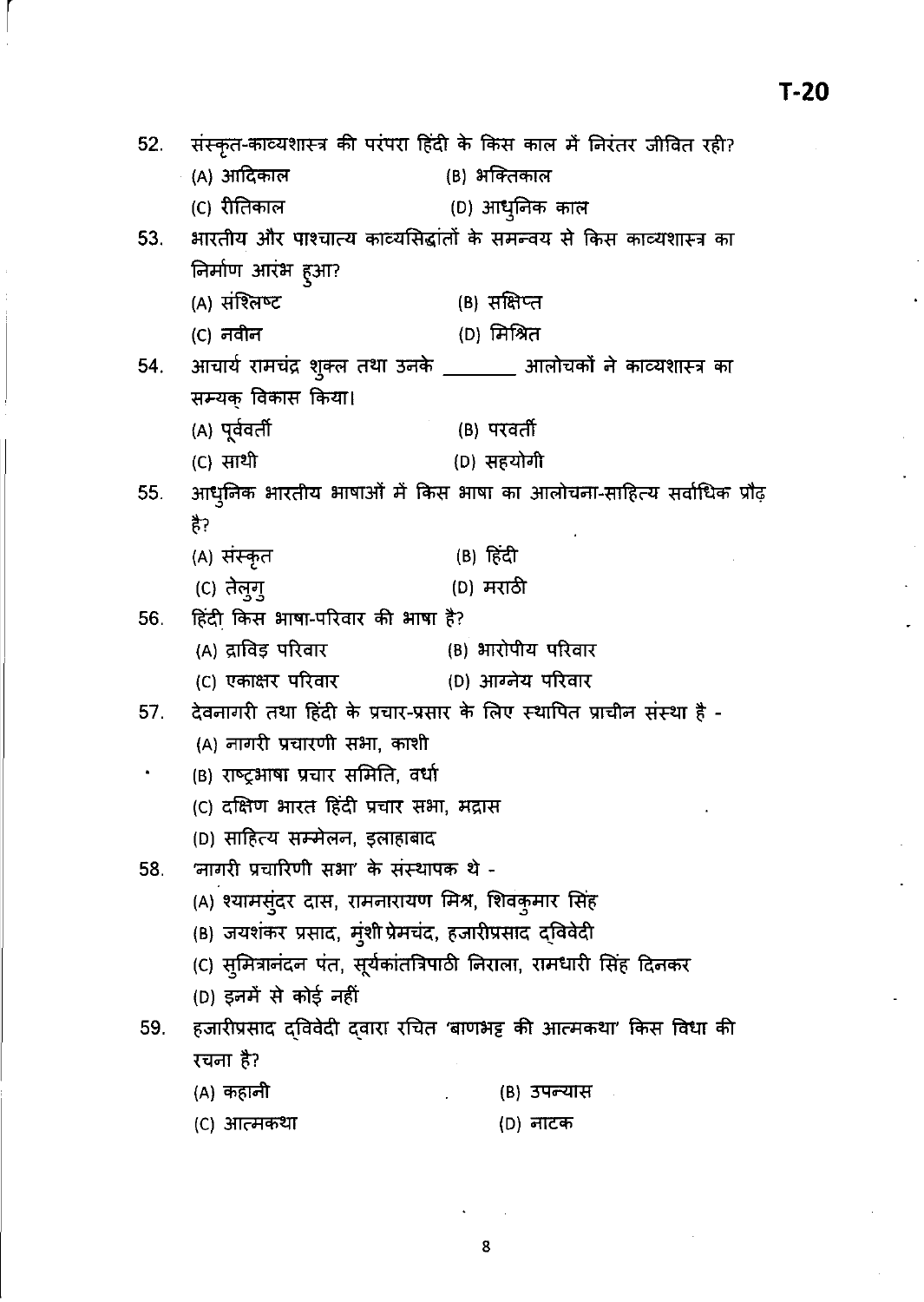| 52. | संस्कृत-काव्यशास्त्र की परंपरा हिंदी के किस काल में निरंतर जीवित रही?       |                                                                          |  |  |  |
|-----|-----------------------------------------------------------------------------|--------------------------------------------------------------------------|--|--|--|
|     | (A) आदिकाल                                                                  | (B) भक्तिकाल                                                             |  |  |  |
|     | (C) रीतिकाल                                                                 | (D) आधुनिक काल                                                           |  |  |  |
|     |                                                                             | 53. भारतीय और पाश्चात्य काव्यसिद्धांतों के समन्वय से किस काव्यशास्त्र का |  |  |  |
|     | निर्माण आरंभ हुआ?                                                           |                                                                          |  |  |  |
|     | (A) संश्लिष्ट                                                               | (B) सक्षिप्त                                                             |  |  |  |
|     | (C) नवीन                                                                    | (D) मिश्रित                                                              |  |  |  |
|     | 54. आचार्य रामचंद्र शुक्ल तथा उनके _______ आलोचकों ने काव्यशास्त्र का       |                                                                          |  |  |  |
|     | सम्यक् विकास किया।                                                          |                                                                          |  |  |  |
|     | (A) पूर्ववर्ती                                                              | (B) परवर्ती                                                              |  |  |  |
|     | (C) साथी                                                                    | (D) सहयोगी                                                               |  |  |  |
|     |                                                                             | 55. आधुनिक भारतीय भाषाओं में किस भाषा का आलोचना-साहित्य सर्वाधिक प्रौढ़  |  |  |  |
|     | है?                                                                         |                                                                          |  |  |  |
|     | (A) संस्कृत                                                                 | (B) हिंदी                                                                |  |  |  |
|     | (C) तेलूग्                                                                  | (D) मराठी                                                                |  |  |  |
| 56. | हिंदी किस भाषा-परिवार की भाषा है?                                           |                                                                          |  |  |  |
|     | (A) द्राविड़ परिवार                                                         | (B) भारोपीय परिवार                                                       |  |  |  |
|     |                                                                             | (C) एकाक्षर परिवार                 (D) आग्नेय परिवार                     |  |  |  |
| 57. | देवनागरी तथा हिंदी के प्रचार-प्रसार के लिए स्थापित प्राचीन संस्था है -      |                                                                          |  |  |  |
|     | (A) नागरी प्रचारणी सभा, काशी                                                |                                                                          |  |  |  |
|     | (B) राष्ट्रभाषा प्रचार समिति, वर्धा                                         |                                                                          |  |  |  |
|     | (C) दक्षिण भारत हिंदी प्रचार सभा, मद्रास                                    |                                                                          |  |  |  |
|     | (D) साहित्य सम्मेलन, इलाहाबाद                                               |                                                                          |  |  |  |
| 58. | 'नागरी प्रचारिणी सभा' के संस्थापक थे -                                      |                                                                          |  |  |  |
|     | (A) श्यामसुंदर दास, रामनारायण मिश्र, शिवकुमार सिंह                          |                                                                          |  |  |  |
|     | (B) जयशंकर प्रसाद, म्ंशी प्रेमचंद, हजारीप्रसाद द्विवेदी                     |                                                                          |  |  |  |
|     | (C) स् <b>मित्रानंदन पंत, सूर्यकांतत्रिपाठी निरा</b> ला, रामधारी सिंह दिनकर |                                                                          |  |  |  |
|     | (D) इनमें से कोई नहीं                                                       |                                                                          |  |  |  |
| 59. | हजारीप्रसाद दविवेदी दवारा रचित 'बाणभट्ट की आत्मकथा' किस विधा की             |                                                                          |  |  |  |
|     | रचना है?                                                                    |                                                                          |  |  |  |
|     | (A) कहानी                                                                   | (B) उपन्यास                                                              |  |  |  |
|     | (C) आत्मकथा                                                                 | (D) नाटक                                                                 |  |  |  |

 $\hat{\phantom{a}}$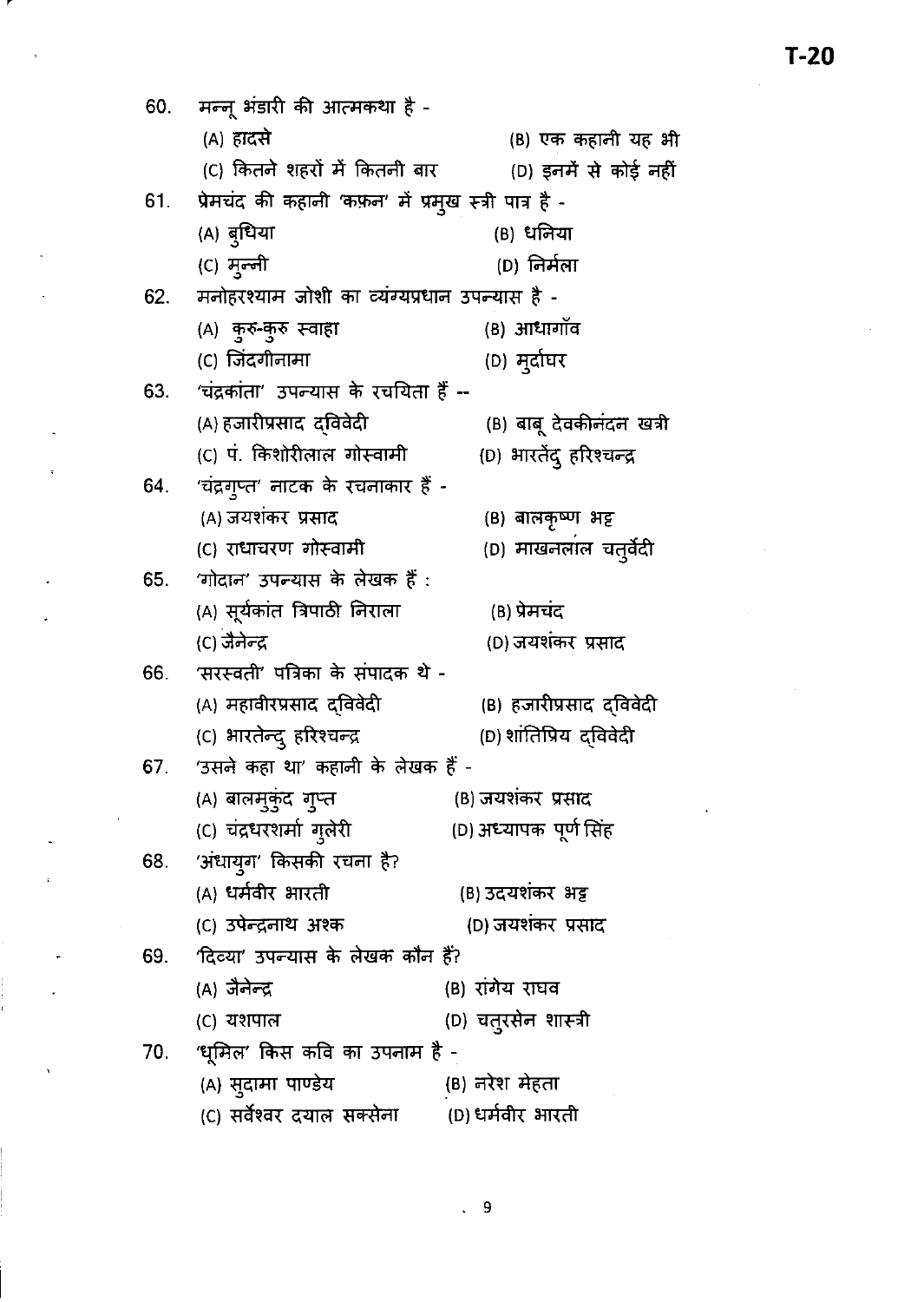| 60. | मन्नू भंडारी की आत्मकथा है -                              |                                                              |  |  |  |  |
|-----|-----------------------------------------------------------|--------------------------------------------------------------|--|--|--|--|
|     | (A) हादसे                                                 | (B) एक कहानी यह भी                                           |  |  |  |  |
|     |                                                           | (C) कितने शहरों में कितनी बार          (D) इनमें से कोई नहीं |  |  |  |  |
|     | 61. प्रेमचंद की कहानी 'कफ़न' में प्रमुख स्त्री पात्र है - |                                                              |  |  |  |  |
|     | (A) बुधिया                                                | (B) धनिया                                                    |  |  |  |  |
|     | (C) मून्नी                                                | (D) निर्मला                                                  |  |  |  |  |
| 62. | मनोहरश्याम जोशी का व्यंग्यप्रधान उपन्यास है -             |                                                              |  |  |  |  |
|     | (A) कुरु-कुरु स्वाहा                                      | (B) आधार्गोंव                                                |  |  |  |  |
|     | (C) जिंदगीनामा                                            | (D) मुर्दाघर                                                 |  |  |  |  |
| 63. | 'चंद्रकांता' उपन्यास के रचयिता हैं --                     |                                                              |  |  |  |  |
|     | (A) हजारीप्रसाद दविवेदी                                   | (B) बाबू देवकीनंदन खत्री                                     |  |  |  |  |
|     | (C) पं. किशोरीलाल गोस्वामी                                | (D) भारतेंदु हरिश्चन्द्र                                     |  |  |  |  |
| 64. | 'चंद्रगुप्त' नाटक के रचनाकार हैं -                        |                                                              |  |  |  |  |
|     | (A) जयशंकर प्रसाद                                         | (B) बालकृष्ण भट्ट                                            |  |  |  |  |
|     | (C) राधाचरण गोस्वामी                                      | (D) माखनलाल चतुर्वेदी                                        |  |  |  |  |
|     | 65. 'गोदान' उपन्यास के लेखक हैं :                         |                                                              |  |  |  |  |
|     | (A) सूर्यकांत त्रिपाठी निराला                             | (B) प्रेमचंद                                                 |  |  |  |  |
|     | (C) जैनेन्द्र                                             | (D) जयशंकर प्रसाद                                            |  |  |  |  |
|     | 66. 'सरस्वती' पत्रिका के संपादक थे -                      |                                                              |  |  |  |  |
|     | (A) महावीरप्रसाद द्विवेदी                                 | (B) हजारीप्रसाद दविवेदी                                      |  |  |  |  |
|     | (C) भारतेन्दु हरिश्चन्द्र                                 | (D) शांतिप्रिय द्विवेदी                                      |  |  |  |  |
|     | 67. 'उसने कहा था' कहानी के लेखक हैं -                     |                                                              |  |  |  |  |
|     | (A) बालम्कुंद गुप्त                                       | (B) जयशंकर प्रसाद                                            |  |  |  |  |
|     | (C) चंद्रधरशर्मा गुलेरी                                   | (D) अध्यापक  पूर्ण सिंह                                      |  |  |  |  |
| 68. | 'अंधायुग' किसकी रचना है?                                  |                                                              |  |  |  |  |
|     | (A) धर्मवीर भारती                                         | (B) उदयशंकर भट्ट                                             |  |  |  |  |
|     | (C) उपेन्द्रनाथ अश्क                                      | (D) जयशंकर प्रसाद                                            |  |  |  |  |
| 69. | 'दिव्या' उपन्यास के लेखक कौन हैं?                         |                                                              |  |  |  |  |
|     | (A) जैनेन्द्र                                             | (B) रांगेय राघव                                              |  |  |  |  |
|     | (C) যংাদান                                                | (D) चतुरसेन शास्त्री                                         |  |  |  |  |
| 70. | 'ध् <b>मिल' किस कवि का उपनाम है</b> -                     |                                                              |  |  |  |  |
|     | (A) सुदामा पाण्डेय                                        | (B) नरेश मेहता                                               |  |  |  |  |
|     | (C) सर्वेश्वर दयाल सक्सेना                                | (D) धर्मवीर भारती                                            |  |  |  |  |

.

J,

 $\ddot{\phantom{0}}$ 

 $\ddot{\cdot}$ 

 $\hat{\mathbf{v}}$ 

 $T-20$ 

ä,

 $\ddot{\phantom{0}}$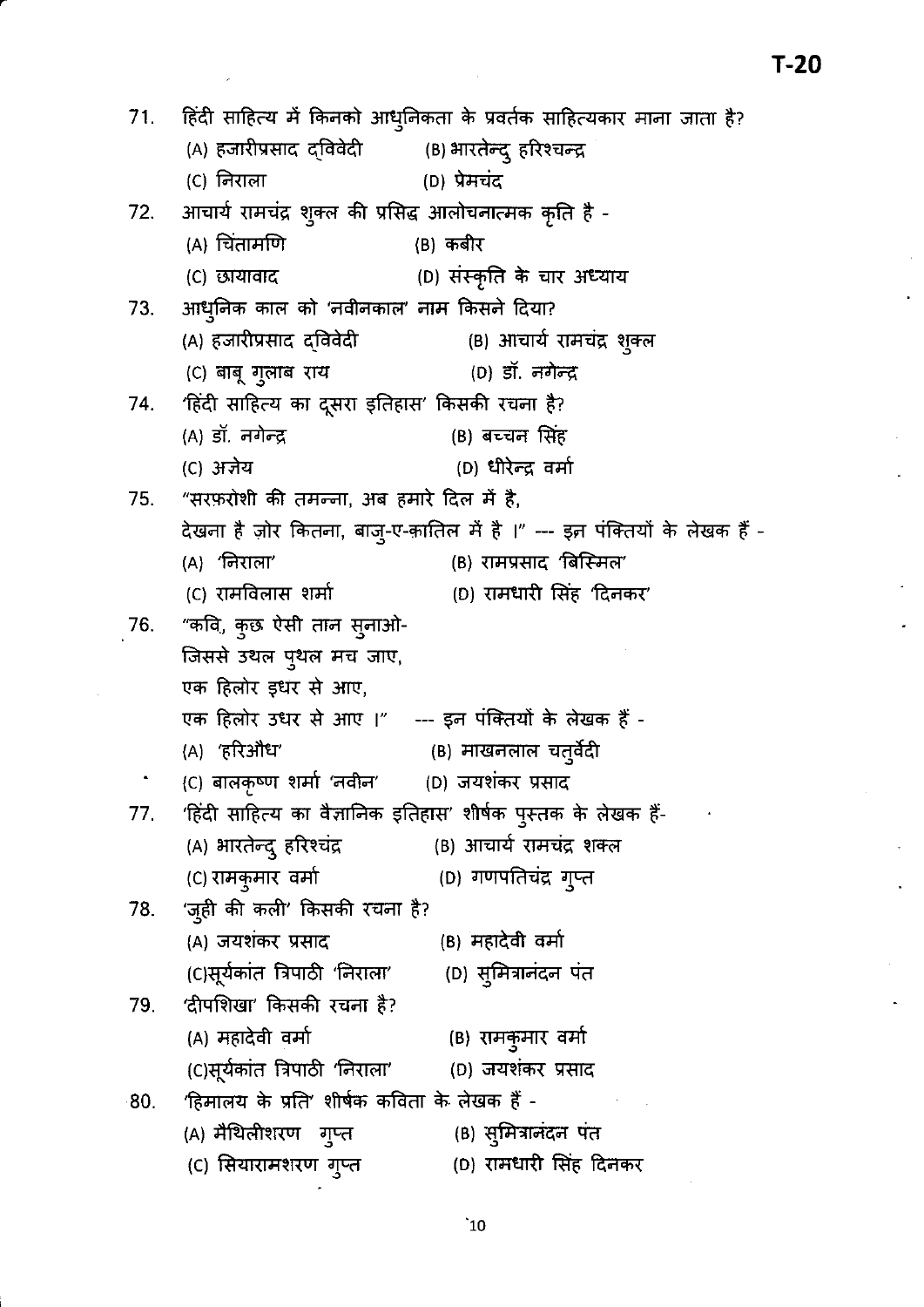|     | 71. हिंदी साहित्य में किनको आधुनिकता के प्रवर्तक साहित्यकार माना जाता है? |                                                                                                                                                                              |  |  |  |
|-----|---------------------------------------------------------------------------|------------------------------------------------------------------------------------------------------------------------------------------------------------------------------|--|--|--|
|     | (A) हजारीप्रसाद दविवेदी           (B) भारतेन्दु हरिश्चन्द्र               |                                                                                                                                                                              |  |  |  |
|     | (C) निराला                                                                | (D) प्रेमचंद                                                                                                                                                                 |  |  |  |
|     | 72. आचार्य रामचंद्र शुक्ल की प्रसिद्ध आलोचनात्मक कृति है -                |                                                                                                                                                                              |  |  |  |
|     | (A) चिंतामणि                                                              | (B) कबीर                                                                                                                                                                     |  |  |  |
|     | (C) छायावाद                                                               | (D) संस्कृति के चार अध्याय                                                                                                                                                   |  |  |  |
|     | 73. आधुनिक काल को 'नवीनकाल' नाम किसने दिया?                               |                                                                                                                                                                              |  |  |  |
|     | (A) हजारीप्रसाद द्विवेदी                                                  | (B) आचार्य रामचंद्र शुक्ल                                                                                                                                                    |  |  |  |
|     | (C) बाबू गुलाब राय                                                        | (D) डॉ. नगेन्द्र                                                                                                                                                             |  |  |  |
|     | 74. 'हिंदी साहित्य का दूसरा इतिहास' किसकी रचना है?                        |                                                                                                                                                                              |  |  |  |
|     | (A) डॉ. नगेन्द्र                                                          | (B) बच्चन सिंह                                                                                                                                                               |  |  |  |
|     | (C) अज्ञेय                                                                | (D) धीरेन्द्र वर्मा                                                                                                                                                          |  |  |  |
|     | 75. "सरफ़रोशी की तमन्जा, अब हमारे दिल में है,                             |                                                                                                                                                                              |  |  |  |
|     |                                                                           | देखना है ज़ोर कितना, बाजु-ए-क़ातिल में है ।" --- इ़न पंक्तियों के लेखक हैं -                                                                                                 |  |  |  |
|     | (A) 'निराला'                                                              | (B) रामप्रसाद 'बिस्मिल'                                                                                                                                                      |  |  |  |
|     | (C) रामविलास शर्मा                                                        | (D) रामधारी सिंह 'दिनकर'                                                                                                                                                     |  |  |  |
|     | 76. "कवि, कुछ ऐसी तान सुनाओ-                                              |                                                                                                                                                                              |  |  |  |
|     | जिससे उथल प्थल मच जाए,                                                    |                                                                                                                                                                              |  |  |  |
|     | एक हिलोर इधर से आए,                                                       |                                                                                                                                                                              |  |  |  |
|     | एक हिलोर उधर से आए ।" --- इन पंक्तियों के लेखक हैं -                      |                                                                                                                                                                              |  |  |  |
|     | (A) 'हरिऔध'                                                               | (B) माखनलाल चतुर्वेदी                                                                                                                                                        |  |  |  |
|     | (C) बालकृष्ण शर्मा 'नवीन' (D) जयशंकर प्रसाद                               |                                                                                                                                                                              |  |  |  |
|     | 77.    'हिंदी साहित्य का वैज्ञानिक इतिहास' शीर्षक पुस्तक के लेखक हैं-     |                                                                                                                                                                              |  |  |  |
|     | (A) भारतेन्द् हरिश्चंद्र             (B) आचार्य रामचंद्र शक्ल             |                                                                                                                                                                              |  |  |  |
|     | (C) रामकुमार वर्मा                                                        | (D) गणपतिचंद्र गुप्त                                                                                                                                                         |  |  |  |
|     | 78. 'जुही की कली' किसकी रचना है?                                          |                                                                                                                                                                              |  |  |  |
|     | (A) जयशंकर प्रसाद                                                         | (B) महादेवी वर्मा                                                                                                                                                            |  |  |  |
|     | (C)सूर्यकांत त्रिपाठी 'निराला' (D) स्मित्रानंदन पंत                       |                                                                                                                                                                              |  |  |  |
|     | 79.    'दीपशिखा' किसकी रचना है?                                           |                                                                                                                                                                              |  |  |  |
|     | (A) महादेवी वर्मा                                                         | (B) रामकुमार वर्मा                                                                                                                                                           |  |  |  |
|     | (C)सूर्यकांत त्रिपाठी 'निराला'       (D) जयशंकर प्रसाद                    |                                                                                                                                                                              |  |  |  |
| 80. | 'हिमालय के प्रति' शीर्षक कविता के लेखक हैं -                              | $\mathcal{L}^{\mathcal{L}}(\mathcal{L}^{\mathcal{L}})$ and $\mathcal{L}^{\mathcal{L}}(\mathcal{L}^{\mathcal{L}})$ and $\mathcal{L}^{\mathcal{L}}(\mathcal{L}^{\mathcal{L}})$ |  |  |  |
|     | (A) मैथिलीशरण गुप्त                                                       | (B) सुमित्रानंदन पंत                                                                                                                                                         |  |  |  |
|     | (C) सियारामशरण ग्¤त                                                       | (D) रामधारी सिंह दिनकर                                                                                                                                                       |  |  |  |

 $T-20$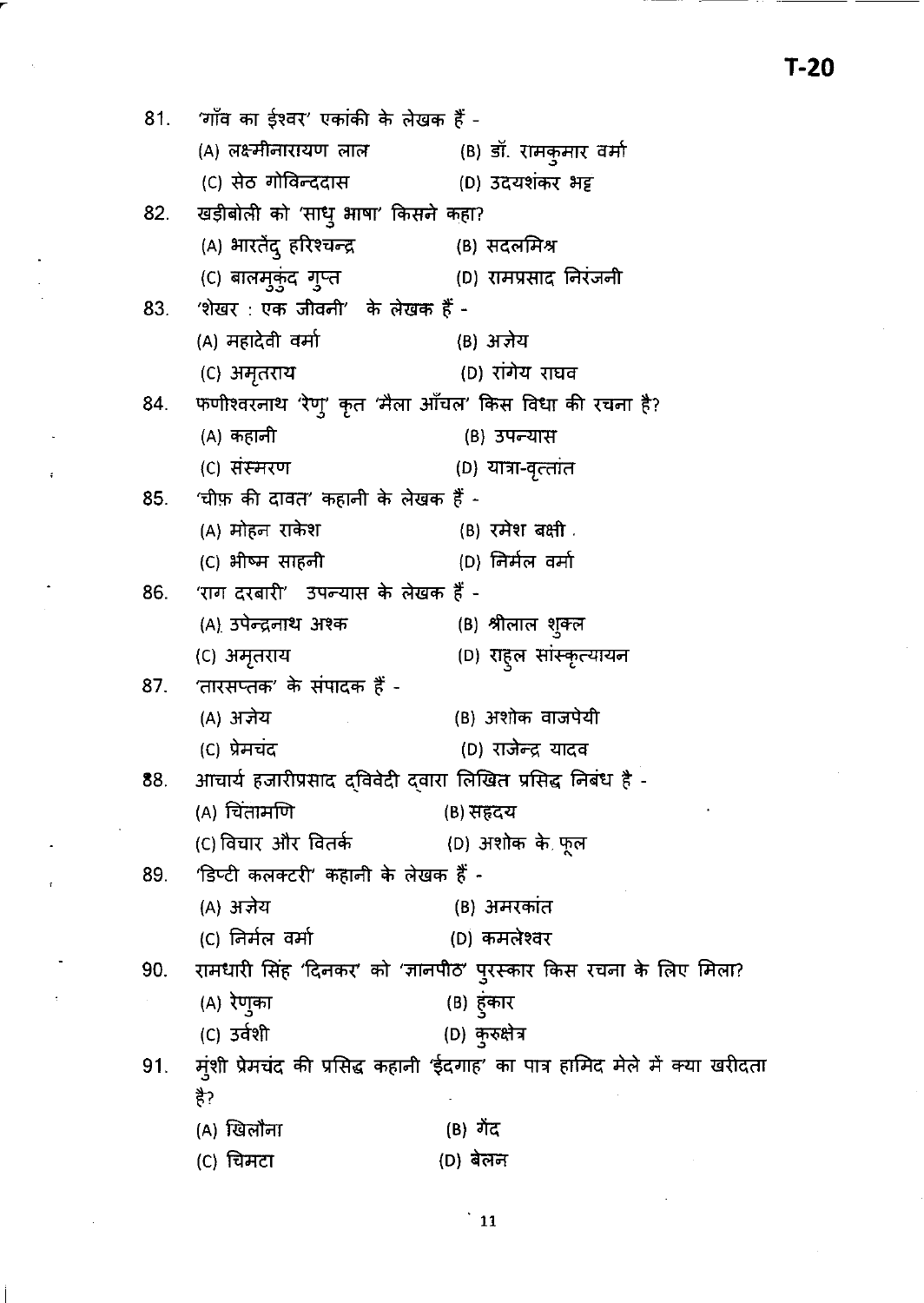'गाँव का ईश्वर' एकांकी के लेखक हैं - $81.$ (A) लक्ष्मीनारायण लाल (B) डॉ. रामकुमार वर्मा (C) सेठ गोविन्ददास (D) उदयशंकर भट्ट खड़ीबोली को 'साधु भाषा' किसने कहा? 82. (A) भारतेंदु हरिश्चन्द्र (B) सदलमिश्र (C) बालम्कुंद गुप्त (D) रामप्रसाद निरंजनी 'शेखर: एक जीवनी' के लेखक हैं -83. (A) महादेवी वर्मा (B) अज्ञेय (D) रांगेय राघव (C) अमृतराय फणीश्वरनाथ 'रेणु' कृत 'मैला ऑचल' किस विधा की रचना है? 84. (A) कहानी (B) उपन्यास (C) संस्मरण (D) यात्रा-वृत्तांत 'चीफ़ की दावत' कहानी के लेखक हैं -85. (A) मोहन राकेश (B) रमेश बक्षी . (C) भीष्म साहनी (D) निर्मल वर्मा 'राग दरबारी' उपन्यास के लेखक हैं -86. (A) उपेन्द्रनाथ अश्क (B) श्रीलाल शुक्ल (D) राहुल सांस्कृत्यायन (C) अमृतराय 'तारसप्तक' के संपादक हैं -87. (B) अशोक वाजपेयी (A) अज्ञेय (C) प्रेमचंद (D) राजेन्द्र यादव आचार्य हजारीप्रसाद दविवेदी दवारा लिखित प्रसिद्ध निबंध है -88. (A) चिंतामणि (B) सहदय (C) विचार और वितर्क (D) अशोक के फूल 'डिप्टी कलक्टरी' कहानी के लेखक हैं -89. (B) अमरकांत (A) अज्ञेय (C) निर्मल वर्मा (D) कमलेश्वर रामधारी सिंह 'दिनकर' को 'ज्ञानपीठ' पुरस्कार किस रचना के लिए मिला? 90. (B) हुंकार (A) रेणुका (D) कुरुक्षेत्र (C) उर्वशी मुंशी प्रेमचंद की प्रसिद्ध कहानी 'ईदगाह' का पात्र हामिद मेले में क्या खरीदता 91. है? (B) गेंद (A) खिलौना (C) चिमटा (D) बेलन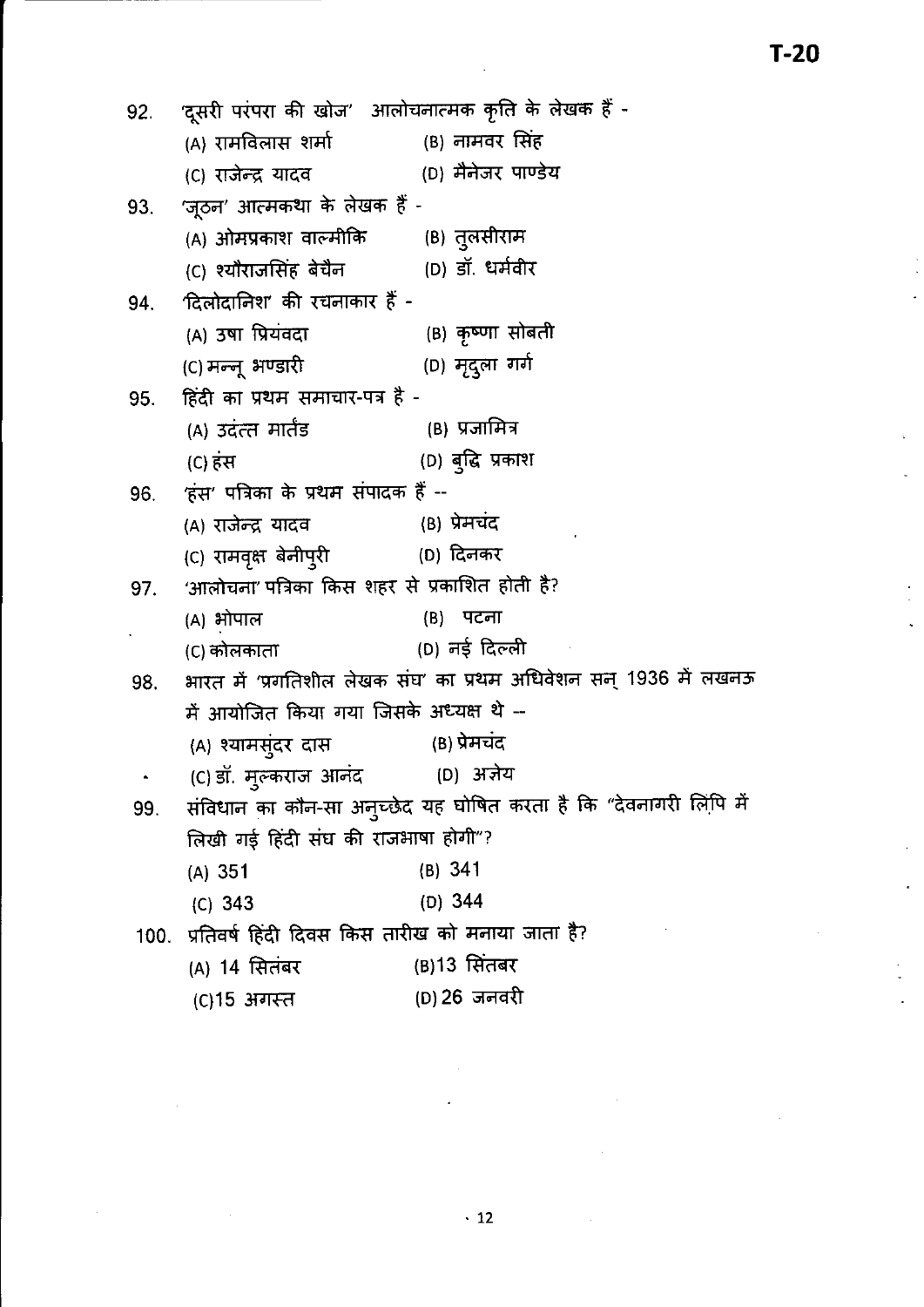'दूसरी परंपरा की खोज' आलोचनात्मक कृति के लेखक हैं -92. (A) रामविलास शर्मा (B) नामवर सिंह (D) मैनेजर पाण्डेय (C) राजेन्द्र यादव 'जूठन' आत्मकथा के लेखक हैं -93. (B) तुलसीराम (A) ओमप्रकाश वाल्मीकि (D) डॉ. धर्मवीर (C) श्यौराजसिंह बेचैन दिलोदानिश' की रचनाकार हैं -94. (B) कृष्णा सोबती (A) उषा प्रियंवदा (D) मृदुला गर्ग (C) मन्नू भण्डारी हिंदी का प्रथम समाचार-पत्र है -95. (A) उदंत्त मार्तंड (B) प्रजामित्र (D) बुद्धि प्रकाश (C) हंस 'हंस' पत्रिका के प्रथम संपादक हैं --96. (B) प्रेमचंद (A) राजेन्द्र यादव (D) दिनकर (C) रामवृक्ष बेनीपुरी 'आलोचना' पत्रिका किस शहर से प्रकाशित होती है? 97. (B) पटना (A) भोपाल (D) नई दिल्ली (C) कोलकाता भारत में 'प्रगतिशील लेखक संघ' का प्रथम अधिवेशन सन् 1936 में लखनऊ 98. में आयोजित किया गया जिसके अध्यक्ष थे --(A) श्यामसुंदर दास (B) प्रेमचंद (C) डॉ. मुल्कराज आनंद (D) अर्ज़ेय  $\bullet$ संविधान का कौन-सा अनुच्छेद यह घोषित करता है कि "देवनागरी लिपि में 99. लिखी गई हिंदी संघ की राजभाषा होगी"?  $(B) 341$  $(A)$  351  $(C) 343$  $(D)$  344 100. प्रतिवर्ष हिंदी दिवस किस तारीख को मनाया जाता है? (B) 13 सितंबर (A) 14 सितंबर (D) 26 जनवरी (C)15 अगस्त